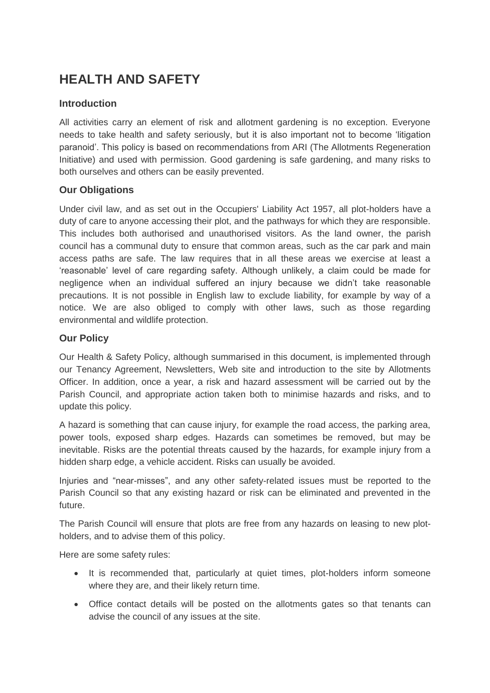# **HEALTH AND SAFETY**

#### **Introduction**

All activities carry an element of risk and allotment gardening is no exception. Everyone needs to take health and safety seriously, but it is also important not to become 'litigation paranoid'. This policy is based on recommendations from ARI (The Allotments Regeneration Initiative) and used with permission. Good gardening is safe gardening, and many risks to both ourselves and others can be easily prevented.

## **Our Obligations**

Under civil law, and as set out in the Occupiers' Liability Act 1957, all plot-holders have a duty of care to anyone accessing their plot, and the pathways for which they are responsible. This includes both authorised and unauthorised visitors. As the land owner, the parish council has a communal duty to ensure that common areas, such as the car park and main access paths are safe. The law requires that in all these areas we exercise at least a 'reasonable' level of care regarding safety. Although unlikely, a claim could be made for negligence when an individual suffered an injury because we didn't take reasonable precautions. It is not possible in English law to exclude liability, for example by way of a notice. We are also obliged to comply with other laws, such as those regarding environmental and wildlife protection.

## **Our Policy**

Our Health & Safety Policy, although summarised in this document, is implemented through our Tenancy Agreement, Newsletters, Web site and introduction to the site by Allotments Officer. In addition, once a year, a risk and hazard assessment will be carried out by the Parish Council, and appropriate action taken both to minimise hazards and risks, and to update this policy.

A hazard is something that can cause injury, for example the road access, the parking area, power tools, exposed sharp edges. Hazards can sometimes be removed, but may be inevitable. Risks are the potential threats caused by the hazards, for example injury from a hidden sharp edge, a vehicle accident. Risks can usually be avoided.

Injuries and "near-misses", and any other safety-related issues must be reported to the Parish Council so that any existing hazard or risk can be eliminated and prevented in the future.

The Parish Council will ensure that plots are free from any hazards on leasing to new plotholders, and to advise them of this policy.

Here are some safety rules:

- It is recommended that, particularly at quiet times, plot-holders inform someone where they are, and their likely return time.
- Office contact details will be posted on the allotments gates so that tenants can advise the council of any issues at the site.